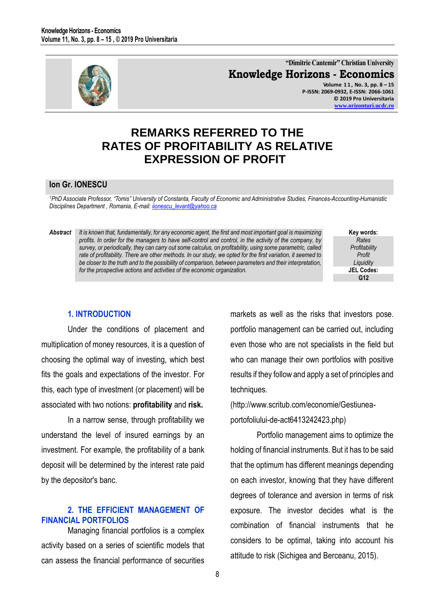

**"Dimitrie Cantemir" Christian University Knowledge Horizons - Economics Volume 1 1 , No. 3, pp. 8 – 15 P-ISSN: 2069-0932, E-ISSN: 2066-1061 © 2019 Pro Universitaria [www.orizonturi.ucdc.ro](http://www.orizonturi.ucdc.ro/)**

### **REMARKS REFERRED TO THE RATES OF PROFITABILITY AS RELATIVE EXPRESSION OF PROFIT**

### **Ion Gr. IONESCU**

<sup>1</sup>PhD Associate Professor, "Tomis" University of Constanta, Faculty of Economic and Administrative Studies, Finances-Accounting-Humanistic *Disciplines Department , Romania, E-mail[: iionescu\\_levant@yahoo.ca](mailto:iionescu_levant@yahoo.ca)* 

#### *Abstract It is known that, fundamentally, for any economic agent, the first and most important goal is maximizing profits. In order for the managers to have self-control and control, in the activity of the company, by survey, or periodically, they can carry out some calculus, on profitability, using some parametric, called rate of profitability. There are other methods. In our study, we opted for the first variation, it seemed to be closer to the truth and to the possibility of comparison, between parameters and their interpretation, for the prospective actions and activities of the economic organization.*

**Key words:** *Rates Profitability Profit Liquidity* **JEL Codes: G12**

### **1. INTRODUCTION**

Under the conditions of placement and multiplication of money resources, it is a question of choosing the optimal way of investing, which best fits the goals and expectations of the investor. For this, each type of investment (or placement) will be associated with two notions: **profitability** and **risk.**

In a narrow sense, through profitability we understand the level of insured earnings by an investment. For example, the profitability of a bank deposit will be determined by the interest rate paid by the depositor's banc.

### **2. THE EFFICIENT MANAGEMENT OF FINANCIAL PORTFOLIOS**

Managing financial portfolios is a complex activity based on a series of scientific models that can assess the financial performance of securities markets as well as the risks that investors pose. portfolio management can be carried out, including even those who are not specialists in the field but who can manage their own portfolios with positive results if they follow and apply a set of principles and techniques.

(http://www.scritub.com/economie/Gestiuneaportofoliului-de-act6413242423.php)

Portfolio management aims to optimize the holding of financial instruments. But it has to be said that the optimum has different meanings depending on each investor, knowing that they have different degrees of tolerance and aversion in terms of risk exposure. The investor decides what is the combination of financial instruments that he considers to be optimal, taking into account his attitude to risk (Sichigea and Berceanu, 2015).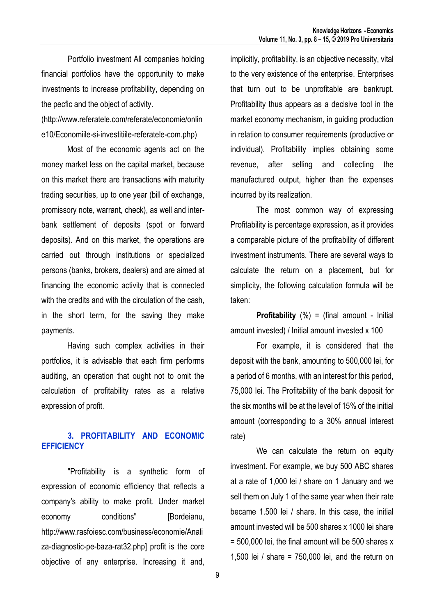Portfolio investment All companies holding financial portfolios have the opportunity to make investments to increase profitability, depending on the pecfic and the object of activity.

(http://www.referatele.com/referate/economie/onlin e10/Economiile-si-investitiile-referatele-com.php)

Most of the economic agents act on the money market less on the capital market, because on this market there are transactions with maturity trading securities, up to one year (bill of exchange, promissory note, warrant, check), as well and interbank settlement of deposits (spot or forward deposits). And on this market, the operations are carried out through institutions or specialized persons (banks, brokers, dealers) and are aimed at financing the economic activity that is connected with the credits and with the circulation of the cash, in the short term, for the saving they make payments.

Having such complex activities in their portfolios, it is advisable that each firm performs auditing, an operation that ought not to omit the calculation of profitability rates as a relative expression of profit.

### **3. PROFITABILITY AND ECONOMIC EFFICIENCY**

"Profitability is a synthetic form of expression of economic efficiency that reflects a company's ability to make profit. Under market economy conditions" [Bordeianu, http://www.rasfoiesc.com/business/economie/Anali za-diagnostic-pe-baza-rat32.php] profit is the core objective of any enterprise. Increasing it and,

implicitly, profitability, is an objective necessity, vital to the very existence of the enterprise. Enterprises that turn out to be unprofitable are bankrupt. Profitability thus appears as a decisive tool in the market economy mechanism, in guiding production in relation to consumer requirements (productive or individual). Profitability implies obtaining some revenue, after selling and collecting the manufactured output, higher than the expenses incurred by its realization.

The most common way of expressing Profitability is percentage expression, as it provides a comparable picture of the profitability of different investment instruments. There are several ways to calculate the return on a placement, but for simplicity, the following calculation formula will be taken:

**Profitability** (%) = (final amount - Initial amount invested) / Initial amount invested x 100

For example, it is considered that the deposit with the bank, amounting to 500,000 lei, for a period of 6 months, with an interest for this period, 75,000 lei. The Profitability of the bank deposit for the six months will be at the level of 15% of the initial amount (corresponding to a 30% annual interest rate)

We can calculate the return on equity investment. For example, we buy 500 ABC shares at a rate of 1,000 lei / share on 1 January and we sell them on July 1 of the same year when their rate became 1.500 lei / share. In this case, the initial amount invested will be 500 shares x 1000 lei share  $= 500,000$  lei, the final amount will be 500 shares x 1,500 lei / share = 750,000 lei, and the return on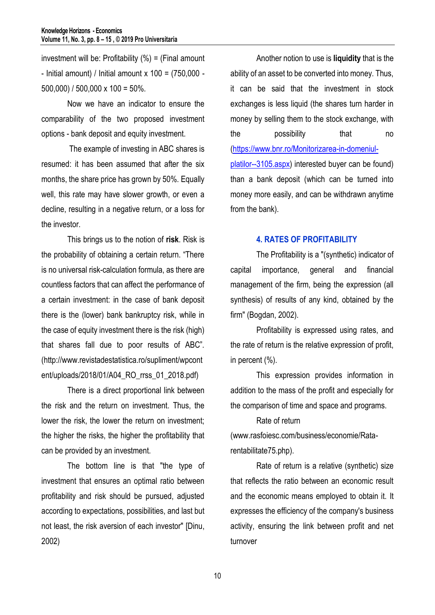investment will be: Profitability  $(\%)$  = (Final amount - Initial amount) / Initial amount  $x$  100 = (750,000 -500,000) / 500,000 x 100 = 50%.

Now we have an indicator to ensure the comparability of the two proposed investment options - bank deposit and equity investment.

The example of investing in ABC shares is resumed: it has been assumed that after the six months, the share price has grown by 50%. Equally well, this rate may have slower growth, or even a decline, resulting in a negative return, or a loss for the investor.

This brings us to the notion of **risk**. Risk is the probability of obtaining a certain return. "There is no universal risk-calculation formula, as there are countless factors that can affect the performance of a certain investment: in the case of bank deposit there is the (lower) bank bankruptcy risk, while in the case of equity investment there is the risk (high) that shares fall due to poor results of ABC". (http://www.revistadestatistica.ro/supliment/wpcont ent/uploads/2018/01/A04 RO rrss 01 2018.pdf)

There is a direct proportional link between the risk and the return on investment. Thus, the lower the risk, the lower the return on investment; the higher the risks, the higher the profitability that can be provided by an investment.

The bottom line is that "the type of investment that ensures an optimal ratio between profitability and risk should be pursued, adjusted according to expectations, possibilities, and last but not least, the risk aversion of each investor" [Dinu, 2002)

Another notion to use is **liquidity** that is the ability of an asset to be converted into money. Thus, it can be said that the investment in stock exchanges is less liquid (the shares turn harder in money by selling them to the stock exchange, with the possibility that no [\(https://www.bnr.ro/Monitorizarea-in-domeniul](https://www.bnr.ro/Monitorizarea-in-domeniul-platilor--3105.aspx)[platilor--3105.aspx\)](https://www.bnr.ro/Monitorizarea-in-domeniul-platilor--3105.aspx) interested buyer can be found) than a bank deposit (which can be turned into money more easily, and can be withdrawn anytime from the bank).

### **4. RATES OF PROFITABILITY**

The Profitability is a "(synthetic) indicator of capital importance, general and financial management of the firm, being the expression (all synthesis) of results of any kind, obtained by the firm" (Bogdan, 2002).

Profitability is expressed using rates, and the rate of return is the relative expression of profit, in percent (%).

This expression provides information in addition to the mass of the profit and especially for the comparison of time and space and programs.

Rate of return

(www.rasfoiesc.com/business/economie/Ratarentabilitate75.php).

Rate of return is a relative (synthetic) size that reflects the ratio between an economic result and the economic means employed to obtain it. It expresses the efficiency of the company's business activity, ensuring the link between profit and net turnover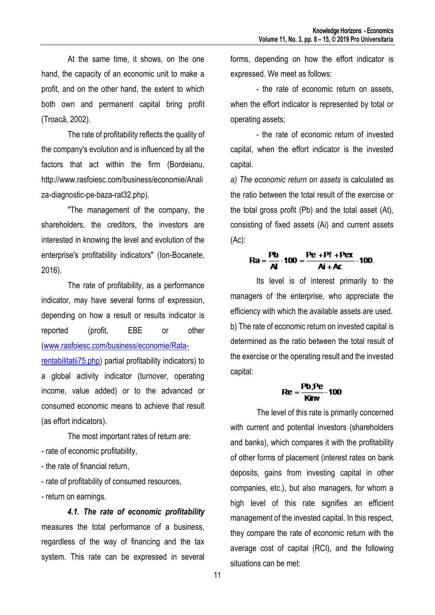At the same time, it shows, on the one hand, the capacity of an economic unit to make a profit, and on the other hand, the extent to which both own and permanent capital bring profit (Troacă, 2002).

The rate of profitability reflects the quality of the company's evolution and is influenced by all the factors that act within the firm (Bordeianu, http://www.rasfoiesc.com/business/economie/Anali za-diagnostic-pe-baza-rat32.php).

"The management of the company, the shareholders, the creditors, the investors are interested in knowing the level and evolution of the enterprise's profitability indicators" (Ion-Bocanete, 2016).

The rate of profitability, as a performance indicator, may have several forms of expression, depending on how a result or results indicator is reported (profit, EBE or other [\(www.rasfoiesc.com/business/economie/Rata](http://www.rasfoiesc.com/business/economie/Rata-rentabilitatii75.php)[rentabilitatii75.php\)](http://www.rasfoiesc.com/business/economie/Rata-rentabilitatii75.php) partial profitability indicators) to a global activity indicator (turnover, operating income, value added) or to the advanced or consumed economic means to achieve that result (as effort indicators).

The most important rates of return are: - rate of economic profitability,

- the rate of financial return,
- rate of profitability of consumed resources,
- return on earnings.

*4.1. The rate of economic profitability* measures the total performance of a business, regardless of the way of financing and the tax system. This rate can be expressed in several

forms, depending on how the effort indicator is expressed. We meet as follows:

- the rate of economic return on assets, when the effort indicator is represented by total or operating assets;

- the rate of economic return of invested capital, when the effort indicator is the invested capital.

*a) The economic return on assets* is calculated as the ratio between the total result of the exercise or the total gross profit (Pb) and the total asset (At), consisting of fixed assets (Ai) and current assets (Ac):

# $Ra = \frac{Pb}{At} \cdot 100 = \frac{Pe + Pf + Pex}{Ai + Ac} \cdot 100.$

Its level is of interest primarily to the managers of the enterprise, who appreciate the efficiency with which the available assets are used. b) The rate of economic return on invested capital is determined as the ratio between the total result of the exercise or the operating result and the invested capital:

$$
Re = \frac{Pb|Pe}{Kmv} \cdot 100
$$

The level of this rate is primarily concerned with current and potential investors (shareholders and banks), which compares it with the profitability of other forms of placement (interest rates on bank deposits, gains from investing capital in other companies, etc.), but also managers, for whom a high level of this rate signifies an efficient management of the invested capital. In this respect, they compare the rate of economic return with the average cost of capital (RCI), and the following situations can be met: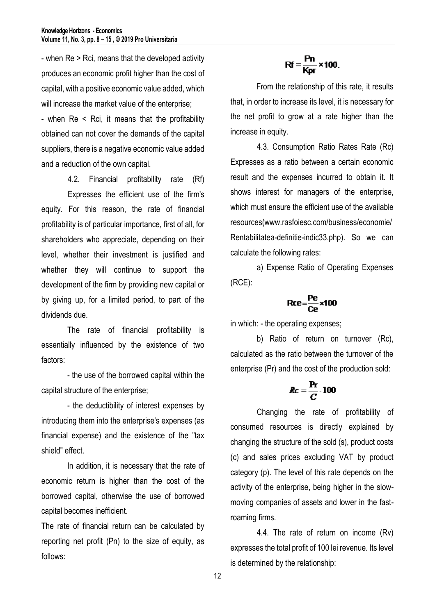- when Re > Rci, means that the developed activity produces an economic profit higher than the cost of capital, with a positive economic value added, which will increase the market value of the enterprise;

- when Re < Rci, it means that the profitability obtained can not cover the demands of the capital suppliers, there is a negative economic value added and a reduction of the own capital.

4.2. Financial profitability rate (Rf) Expresses the efficient use of the firm's equity. For this reason, the rate of financial profitability is of particular importance, first of all, for shareholders who appreciate, depending on their level, whether their investment is justified and whether they will continue to support the development of the firm by providing new capital or by giving up, for a limited period, to part of the dividends due.

The rate of financial profitability is essentially influenced by the existence of two factors:

- the use of the borrowed capital within the capital structure of the enterprise;

- the deductibility of interest expenses by introducing them into the enterprise's expenses (as financial expense) and the existence of the "tax shield" effect.

In addition, it is necessary that the rate of economic return is higher than the cost of the borrowed capital, otherwise the use of borrowed capital becomes inefficient.

The rate of financial return can be calculated by reporting net profit (Pn) to the size of equity, as follows:

$$
Rf = \frac{Pn}{Kpr} \times 100.
$$

From the relationship of this rate, it results that, in order to increase its level, it is necessary for the net profit to grow at a rate higher than the increase in equity.

4.3. Consumption Ratio Rates Rate (Rc) Expresses as a ratio between a certain economic result and the expenses incurred to obtain it. It shows interest for managers of the enterprise, which must ensure the efficient use of the available resources(www.rasfoiesc.com/business/economie/ Rentabilitatea-definitie-indic33.php). So we can calculate the following rates:

a) Expense Ratio of Operating Expenses (RCE):

$$
Rce = \frac{Pe}{Ce} \times 100
$$

in which: - the operating expenses;

b) Ratio of return on turnover (Rc), calculated as the ratio between the turnover of the enterprise (Pr) and the cost of the production sold:

$$
Rc=\frac{Pr}{C}\cdot 100
$$

Changing the rate of profitability of consumed resources is directly explained by changing the structure of the sold (s), product costs (c) and sales prices excluding VAT by product category (p). The level of this rate depends on the activity of the enterprise, being higher in the slowmoving companies of assets and lower in the fastroaming firms.

4.4. The rate of return on income (Rv) expresses the total profit of 100 lei revenue. Its level is determined by the relationship:

12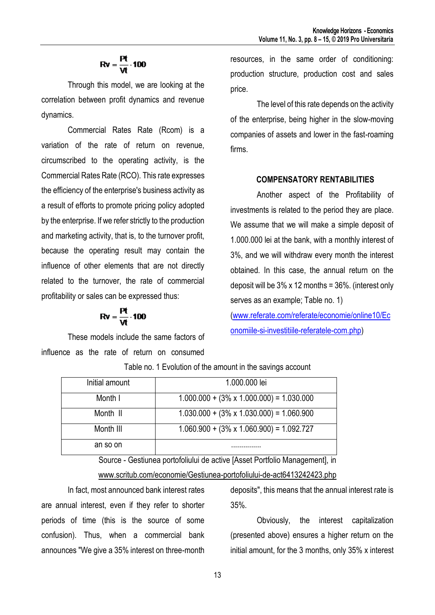## $Rv = \frac{Pt}{Vt} \cdot 100$

Through this model, we are looking at the correlation between profit dynamics and revenue dynamics.

Commercial Rates Rate (Rcom) is a variation of the rate of return on revenue, circumscribed to the operating activity, is the Commercial Rates Rate (RCO). This rate expresses the efficiency of the enterprise's business activity as a result of efforts to promote pricing policy adopted by the enterprise. If we refer strictly to the production and marketing activity, that is, to the turnover profit, because the operating result may contain the influence of other elements that are not directly related to the turnover, the rate of commercial profitability or sales can be expressed thus:

$$
Rv = \frac{Pt}{Vt} \cdot 100
$$

These models include the same factors of influence as the rate of return on consumed resources, in the same order of conditioning: production structure, production cost and sales price.

The level of this rate depends on the activity of the enterprise, being higher in the slow-moving companies of assets and lower in the fast-roaming firms.

### **COMPENSATORY RENTABILITIES**

Another aspect of the Profitability of investments is related to the period they are place. We assume that we will make a simple deposit of 1.000.000 lei at the bank, with a monthly interest of 3%, and we will withdraw every month the interest obtained. In this case, the annual return on the deposit will be  $3\%$  x 12 months =  $36\%$ . (interest only serves as an example; Table no. 1)

[\(www.referate.com/referate/economie/online10/Ec](http://www.referate.com/referate/economie/online10/Economiile-si-investitiile-referatele-com.php) [onomiile-si-investitiile-referatele-com.php\)](http://www.referate.com/referate/economie/online10/Economiile-si-investitiile-referatele-com.php)

| Initial amount | 1.000.000 lei                                    |
|----------------|--------------------------------------------------|
| Month I        | $1.000.000 + (3\% \times 1.000.000) = 1.030.000$ |
| Month II       | $1.030.000 + (3\% \times 1.030.000) = 1.060.900$ |
| Month III      | $1.060.900 + (3\% \times 1.060.900) = 1.092.727$ |
| an so on       | .                                                |

Table no. 1 Evolution of the amount in the savings account

Source - Gestiunea portofoliului de active [Asset Portfolio Management], in

### [www.scritub.com/economie/Gestiunea-portofoliului-de-act6413242423.php](http://www.scritub.com/economie/Gestiunea-portofoliului-de-act6413242423.php)

In fact, most announced bank interest rates are annual interest, even if they refer to shorter periods of time (this is the source of some confusion). Thus, when a commercial bank announces "We give a 35% interest on three-month

deposits", this means that the annual interest rate is 35%.

Obviously, the interest capitalization (presented above) ensures a higher return on the initial amount, for the 3 months, only 35% x interest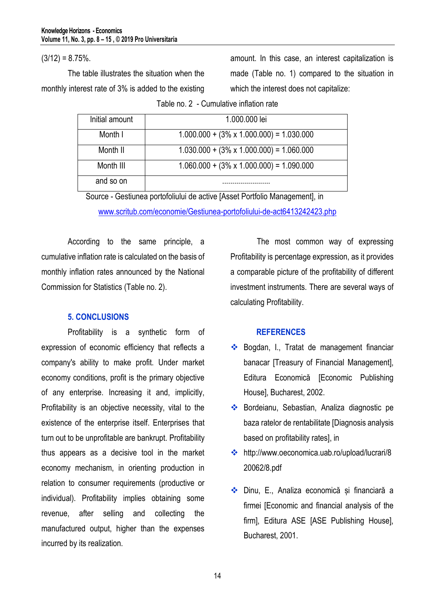$(3/12) = 8.75%$ .

The table illustrates the situation when the monthly interest rate of 3% is added to the existing amount. In this case, an interest capitalization is made (Table no. 1) compared to the situation in which the interest does not capitalize:

Table no. 2 - Cumulative inflation rate

| Initial amount | 1.000.000 lei                                    |
|----------------|--------------------------------------------------|
| Month I        | $1.000.000 + (3\% \times 1.000.000) = 1.030.000$ |
| Month II       | $1.030.000 + (3\% \times 1.000.000) = 1.060.000$ |
| Month III      | $1.060.000 + (3\% \times 1.000.000) = 1.090.000$ |
| and so on      |                                                  |

Source - Gestiunea portofoliului de active [Asset Portfolio Management], in

[www.scritub.com/economie/Gestiunea-portofoliului-de-act6413242423.php](http://www.scritub.com/economie/Gestiunea-portofoliului-de-act6413242423.php)

According to the same principle, a cumulative inflation rate is calculated on the basis of monthly inflation rates announced by the National Commission for Statistics (Table no. 2).

### **5. CONCLUSIONS**

Profitability is a synthetic form of expression of economic efficiency that reflects a company's ability to make profit. Under market economy conditions, profit is the primary objective of any enterprise. Increasing it and, implicitly, Profitability is an objective necessity, vital to the existence of the enterprise itself. Enterprises that turn out to be unprofitable are bankrupt. Profitability thus appears as a decisive tool in the market economy mechanism, in orienting production in relation to consumer requirements (productive or individual). Profitability implies obtaining some revenue, after selling and collecting the manufactured output, higher than the expenses incurred by its realization.

The most common way of expressing Profitability is percentage expression, as it provides a comparable picture of the profitability of different investment instruments. There are several ways of calculating Profitability.

### **REFERENCES**

- ◆ Bogdan, I., Tratat de management financiar banacar [Treasury of Financial Management], Editura Economică [Economic Publishing House], Bucharest, 2002.
- ◆ Bordeianu, Sebastian, Analiza diagnostic pe baza ratelor de rentabilitate [Diagnosis analysis based on profitability rates], in
- http://www.oeconomica.uab.ro/upload/lucrari/8 20062/8.pdf
- Dinu, E., Analiza economică și financiară a firmei [Economic and financial analysis of the firm], Editura ASE [ASE Publishing House], Bucharest, 2001.